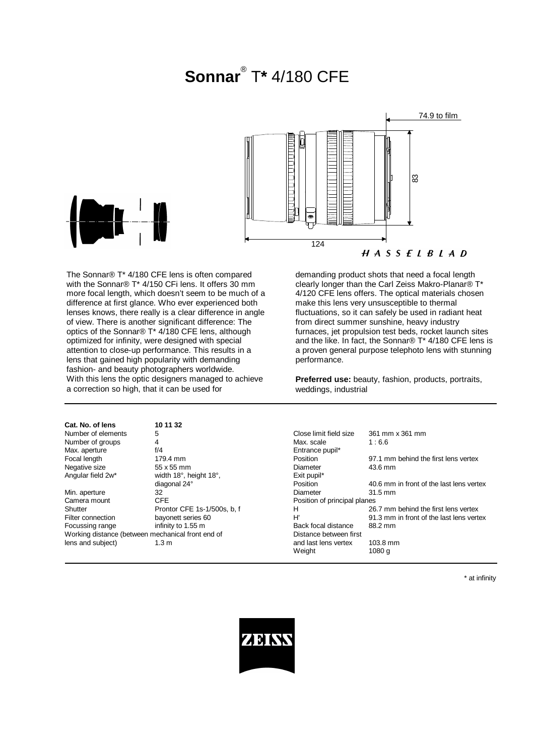# **Sonnar**® T**\*** 4/180 CFE



The Sonnar® T\* 4/180 CFE lens is often compared with the Sonnar® T\* 4/150 CFi lens. It offers 30 mm more focal length, which doesn't seem to be much of a difference at first glance. Who ever experienced both lenses knows, there really is a clear difference in angle of view. There is another significant difference: The optics of the Sonnar® T\* 4/180 CFE lens, although optimized for infinity, were designed with special attention to close-up performance. This results in a lens that gained high popularity with demanding fashion- and beauty photographers worldwide. With this lens the optic design a correction so high, that it can

| restrict related beauty priorographers worldwide.<br>With this lens the optic designers managed to achieve<br>a correction so high, that it can be used for |                             | <b>Preferred use:</b> beauty, fashion, products, portraits,<br>weddings, industrial |                                          |
|-------------------------------------------------------------------------------------------------------------------------------------------------------------|-----------------------------|-------------------------------------------------------------------------------------|------------------------------------------|
| Cat. No. of lens                                                                                                                                            | 10 11 32                    |                                                                                     |                                          |
| Number of elements                                                                                                                                          | 5                           | Close limit field size                                                              | 361 mm x 361 mm                          |
| Number of groups                                                                                                                                            | 4                           | Max. scale                                                                          | 1:6.6                                    |
| Max. aperture                                                                                                                                               | f/4                         | Entrance pupil*                                                                     |                                          |
| Focal length                                                                                                                                                | 179.4 mm                    | <b>Position</b>                                                                     | 97.1 mm behind the first lens vertex     |
| Negative size                                                                                                                                               | 55 x 55 mm                  | Diameter                                                                            | 43.6 mm                                  |
| Angular field 2w*                                                                                                                                           | width 18°, height 18°,      | Exit pupil*                                                                         |                                          |
|                                                                                                                                                             | diagonal 24°                | Position                                                                            | 40.6 mm in front of the last lens vertex |
| Min. aperture                                                                                                                                               | 32                          | Diameter                                                                            | $31.5$ mm                                |
| Camera mount                                                                                                                                                | CFE.                        | Position of principal planes                                                        |                                          |
| Shutter                                                                                                                                                     | Prontor CFE 1s-1/500s, b, f | н                                                                                   | 26.7 mm behind the first lens vertex     |
| Filter connection                                                                                                                                           | bayonett series 60          | H'                                                                                  | 91.3 mm in front of the last lens vertex |
| Focussing range                                                                                                                                             | infinity to 1.55 m          | Back focal distance                                                                 | 88.2 mm                                  |
| Working distance (between mechanical front end of                                                                                                           |                             | Distance between first                                                              |                                          |

Weight 1080 g

demanding product shots that need a focal length clearly longer than the Carl Zeiss Makro-Planar® T\* 4/120 CFE lens offers. The optical materials chosen make this lens very unsusceptible to thermal fluctuations, so it can safely be used in radiant heat from direct summer sunshine, heavy industry furnaces, jet propulsion test beds, rocket launch sites and the like. In fact, the Sonnar® T\* 4/180 CFE lens is a proven general purpose telephoto lens with stunning performance.

\* at infinity



lens and subject) 1.3 m and last lens vertex 103.8 mm